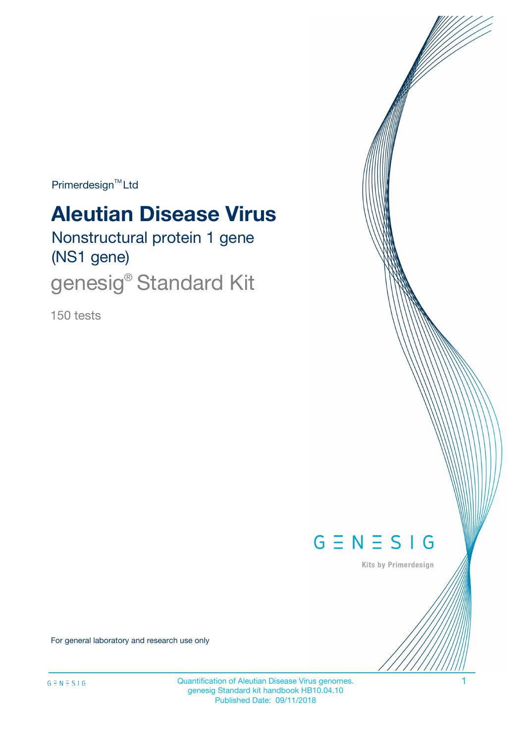Primerdesign<sup>™</sup>Ltd

# **Aleutian Disease Virus**

Nonstructural protein 1 gene (NS1 gene)

genesig<sup>®</sup> Standard Kit

150 tests



Kits by Primerdesign

For general laboratory and research use only

Quantification of Aleutian Disease Virus genomes. 1 genesig Standard kit handbook HB10.04.10 Published Date: 09/11/2018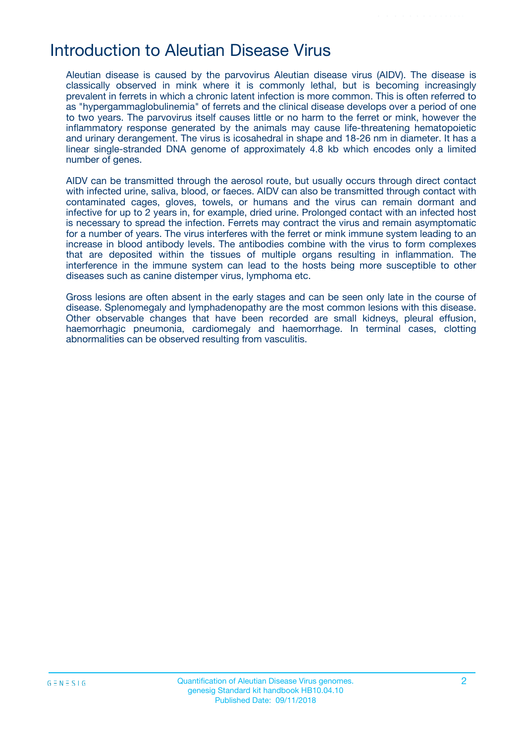## Introduction to Aleutian Disease Virus

Aleutian disease is caused by the parvovirus Aleutian disease virus (AIDV). The disease is classically observed in mink where it is commonly lethal, but is becoming increasingly prevalent in ferrets in which a chronic latent infection is more common. This is often referred to as "hypergammaglobulinemia" of ferrets and the clinical disease develops over a period of one to two years. The parvovirus itself causes little or no harm to the ferret or mink, however the inflammatory response generated by the animals may cause life-threatening hematopoietic and urinary derangement. The virus is icosahedral in shape and 18-26 nm in diameter. It has a linear single-stranded DNA genome of approximately 4.8 kb which encodes only a limited number of genes.

AIDV can be transmitted through the aerosol route, but usually occurs through direct contact with infected urine, saliva, blood, or faeces. AIDV can also be transmitted through contact with contaminated cages, gloves, towels, or humans and the virus can remain dormant and infective for up to 2 years in, for example, dried urine. Prolonged contact with an infected host is necessary to spread the infection. Ferrets may contract the virus and remain asymptomatic for a number of years. The virus interferes with the ferret or mink immune system leading to an increase in blood antibody levels. The antibodies combine with the virus to form complexes that are deposited within the tissues of multiple organs resulting in inflammation. The interference in the immune system can lead to the hosts being more susceptible to other diseases such as canine distemper virus, lymphoma etc.

Gross lesions are often absent in the early stages and can be seen only late in the course of disease. Splenomegaly and lymphadenopathy are the most common lesions with this disease. Other observable changes that have been recorded are small kidneys, pleural effusion, haemorrhagic pneumonia, cardiomegaly and haemorrhage. In terminal cases, clotting abnormalities can be observed resulting from vasculitis.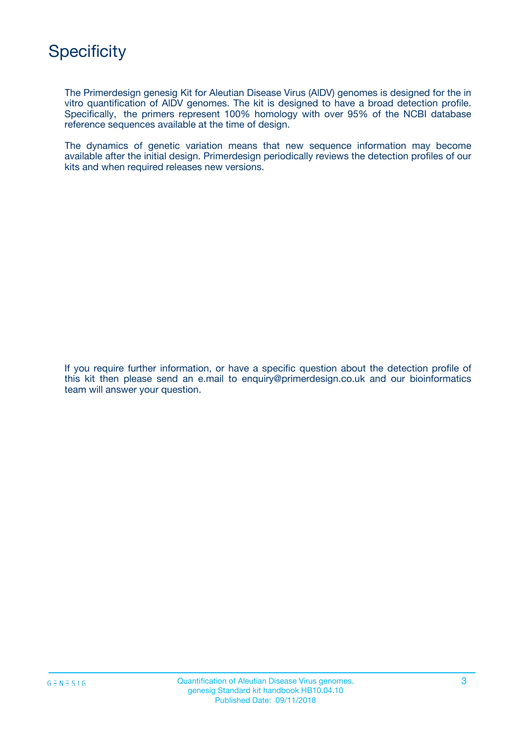The Primerdesign genesig Kit for Aleutian Disease Virus (AlDV) genomes is designed for the in vitro quantification of AlDV genomes. The kit is designed to have a broad detection profile. Specifically, the primers represent 100% homology with over 95% of the NCBI database reference sequences available at the time of design.

The dynamics of genetic variation means that new sequence information may become available after the initial design. Primerdesign periodically reviews the detection profiles of our kits and when required releases new versions.

If you require further information, or have a specific question about the detection profile of this kit then please send an e.mail to enquiry@primerdesign.co.uk and our bioinformatics team will answer your question.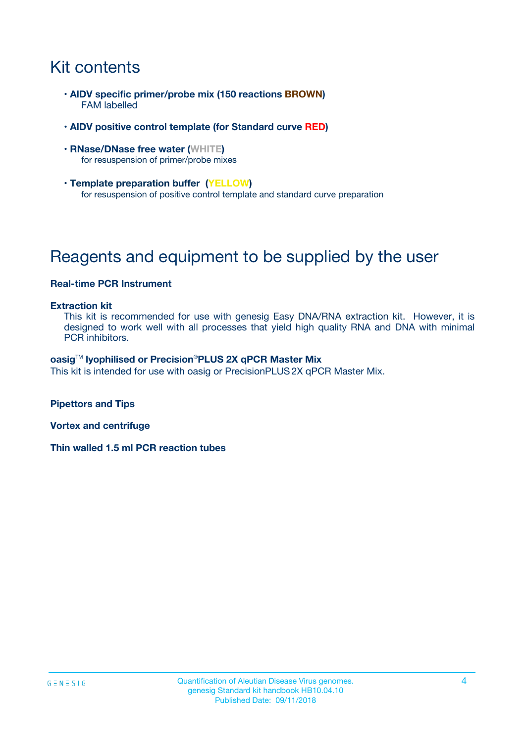# Kit contents

- **AlDV specific primer/probe mix (150 reactions BROWN)** FAM labelled
- **AlDV positive control template (for Standard curve RED)**
- **RNase/DNase free water (WHITE)** for resuspension of primer/probe mixes
- **Template preparation buffer (YELLOW)** for resuspension of positive control template and standard curve preparation

# Reagents and equipment to be supplied by the user

#### **Real-time PCR Instrument**

#### **Extraction kit**

This kit is recommended for use with genesig Easy DNA/RNA extraction kit. However, it is designed to work well with all processes that yield high quality RNA and DNA with minimal PCR inhibitors.

#### **oasig**TM **lyophilised or Precision**®**PLUS 2X qPCR Master Mix**

This kit is intended for use with oasig or PrecisionPLUS2X qPCR Master Mix.

**Pipettors and Tips**

**Vortex and centrifuge**

**Thin walled 1.5 ml PCR reaction tubes**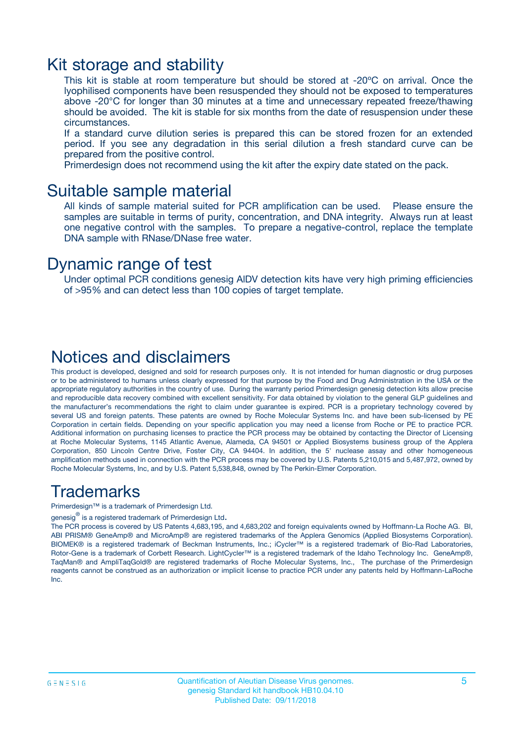### Kit storage and stability

This kit is stable at room temperature but should be stored at -20ºC on arrival. Once the lyophilised components have been resuspended they should not be exposed to temperatures above -20°C for longer than 30 minutes at a time and unnecessary repeated freeze/thawing should be avoided. The kit is stable for six months from the date of resuspension under these circumstances.

If a standard curve dilution series is prepared this can be stored frozen for an extended period. If you see any degradation in this serial dilution a fresh standard curve can be prepared from the positive control.

Primerdesign does not recommend using the kit after the expiry date stated on the pack.

### Suitable sample material

All kinds of sample material suited for PCR amplification can be used. Please ensure the samples are suitable in terms of purity, concentration, and DNA integrity. Always run at least one negative control with the samples. To prepare a negative-control, replace the template DNA sample with RNase/DNase free water.

### Dynamic range of test

Under optimal PCR conditions genesig AlDV detection kits have very high priming efficiencies of >95% and can detect less than 100 copies of target template.

### Notices and disclaimers

This product is developed, designed and sold for research purposes only. It is not intended for human diagnostic or drug purposes or to be administered to humans unless clearly expressed for that purpose by the Food and Drug Administration in the USA or the appropriate regulatory authorities in the country of use. During the warranty period Primerdesign genesig detection kits allow precise and reproducible data recovery combined with excellent sensitivity. For data obtained by violation to the general GLP guidelines and the manufacturer's recommendations the right to claim under guarantee is expired. PCR is a proprietary technology covered by several US and foreign patents. These patents are owned by Roche Molecular Systems Inc. and have been sub-licensed by PE Corporation in certain fields. Depending on your specific application you may need a license from Roche or PE to practice PCR. Additional information on purchasing licenses to practice the PCR process may be obtained by contacting the Director of Licensing at Roche Molecular Systems, 1145 Atlantic Avenue, Alameda, CA 94501 or Applied Biosystems business group of the Applera Corporation, 850 Lincoln Centre Drive, Foster City, CA 94404. In addition, the 5' nuclease assay and other homogeneous amplification methods used in connection with the PCR process may be covered by U.S. Patents 5,210,015 and 5,487,972, owned by Roche Molecular Systems, Inc, and by U.S. Patent 5,538,848, owned by The Perkin-Elmer Corporation.

### Trademarks

Primerdesign™ is a trademark of Primerdesign Ltd.

genesig $^\circledR$  is a registered trademark of Primerdesign Ltd.

The PCR process is covered by US Patents 4,683,195, and 4,683,202 and foreign equivalents owned by Hoffmann-La Roche AG. BI, ABI PRISM® GeneAmp® and MicroAmp® are registered trademarks of the Applera Genomics (Applied Biosystems Corporation). BIOMEK® is a registered trademark of Beckman Instruments, Inc.; iCycler™ is a registered trademark of Bio-Rad Laboratories, Rotor-Gene is a trademark of Corbett Research. LightCycler™ is a registered trademark of the Idaho Technology Inc. GeneAmp®, TaqMan® and AmpliTaqGold® are registered trademarks of Roche Molecular Systems, Inc., The purchase of the Primerdesign reagents cannot be construed as an authorization or implicit license to practice PCR under any patents held by Hoffmann-LaRoche Inc.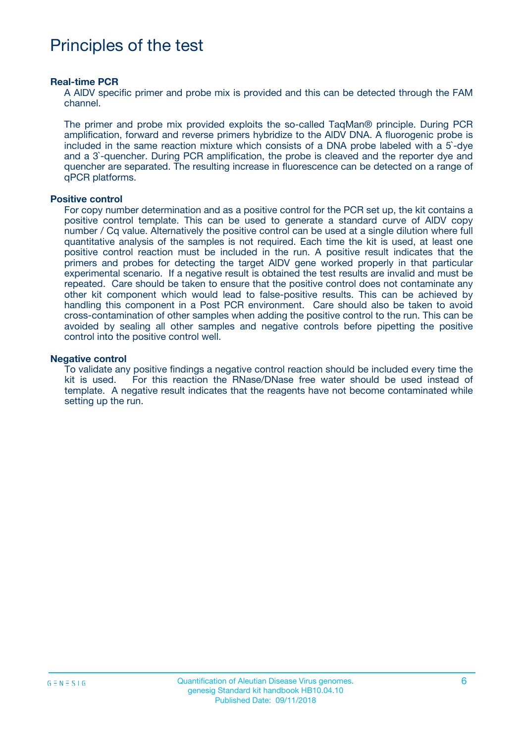# Principles of the test

#### **Real-time PCR**

A AlDV specific primer and probe mix is provided and this can be detected through the FAM channel.

The primer and probe mix provided exploits the so-called TaqMan® principle. During PCR amplification, forward and reverse primers hybridize to the AlDV DNA. A fluorogenic probe is included in the same reaction mixture which consists of a DNA probe labeled with a 5`-dye and a 3`-quencher. During PCR amplification, the probe is cleaved and the reporter dye and quencher are separated. The resulting increase in fluorescence can be detected on a range of qPCR platforms.

#### **Positive control**

For copy number determination and as a positive control for the PCR set up, the kit contains a positive control template. This can be used to generate a standard curve of AlDV copy number / Cq value. Alternatively the positive control can be used at a single dilution where full quantitative analysis of the samples is not required. Each time the kit is used, at least one positive control reaction must be included in the run. A positive result indicates that the primers and probes for detecting the target AlDV gene worked properly in that particular experimental scenario. If a negative result is obtained the test results are invalid and must be repeated. Care should be taken to ensure that the positive control does not contaminate any other kit component which would lead to false-positive results. This can be achieved by handling this component in a Post PCR environment. Care should also be taken to avoid cross-contamination of other samples when adding the positive control to the run. This can be avoided by sealing all other samples and negative controls before pipetting the positive control into the positive control well.

#### **Negative control**

To validate any positive findings a negative control reaction should be included every time the kit is used. For this reaction the RNase/DNase free water should be used instead of template. A negative result indicates that the reagents have not become contaminated while setting up the run.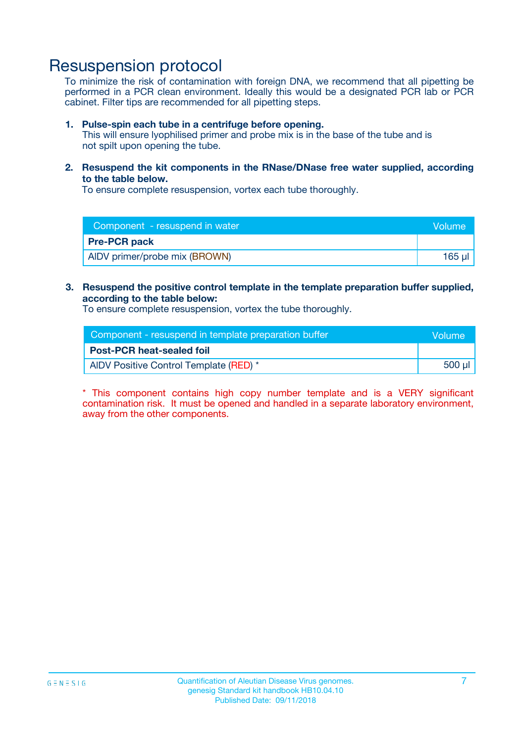## Resuspension protocol

To minimize the risk of contamination with foreign DNA, we recommend that all pipetting be performed in a PCR clean environment. Ideally this would be a designated PCR lab or PCR cabinet. Filter tips are recommended for all pipetting steps.

#### **1. Pulse-spin each tube in a centrifuge before opening.**

This will ensure lyophilised primer and probe mix is in the base of the tube and is not spilt upon opening the tube.

**2. Resuspend the kit components in the RNase/DNase free water supplied, according to the table below.**

To ensure complete resuspension, vortex each tube thoroughly.

| Component - resuspend in water<br>Volume |        |
|------------------------------------------|--------|
| <b>Pre-PCR pack</b>                      |        |
| AIDV primer/probe mix (BROWN)            | 165 ul |

### **3. Resuspend the positive control template in the template preparation buffer supplied, according to the table below:**

To ensure complete resuspension, vortex the tube thoroughly.

| Component - resuspend in template preparation buffer |        |  |
|------------------------------------------------------|--------|--|
| <b>Post-PCR heat-sealed foil</b>                     |        |  |
| AIDV Positive Control Template (RED) *               | 500 µl |  |

\* This component contains high copy number template and is a VERY significant contamination risk. It must be opened and handled in a separate laboratory environment, away from the other components.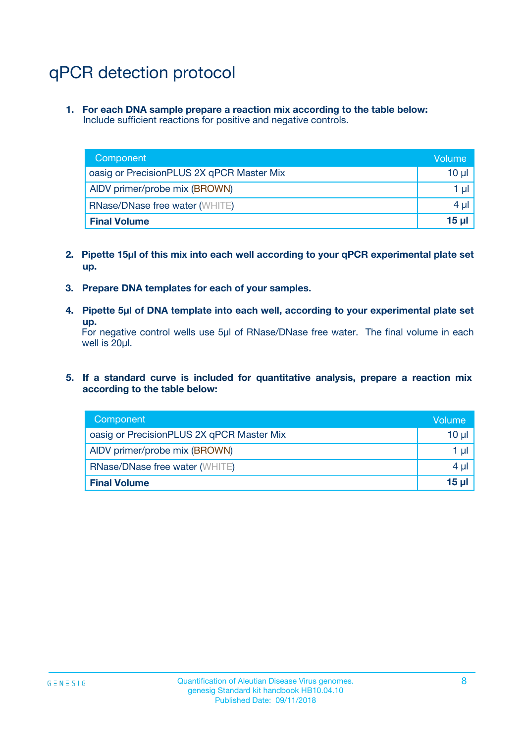# qPCR detection protocol

**1. For each DNA sample prepare a reaction mix according to the table below:** Include sufficient reactions for positive and negative controls.

| Component                                 | Volume           |
|-------------------------------------------|------------------|
| oasig or PrecisionPLUS 2X qPCR Master Mix | 10 $\mu$         |
| AIDV primer/probe mix (BROWN)             | 1 $\mu$          |
| <b>RNase/DNase free water (WHITE)</b>     | $4 \mu$          |
| <b>Final Volume</b>                       | 15 <sub>ul</sub> |

- **2. Pipette 15µl of this mix into each well according to your qPCR experimental plate set up.**
- **3. Prepare DNA templates for each of your samples.**
- **4. Pipette 5µl of DNA template into each well, according to your experimental plate set up.**

For negative control wells use 5µl of RNase/DNase free water. The final volume in each well is 20µl.

**5. If a standard curve is included for quantitative analysis, prepare a reaction mix according to the table below:**

| Component                                 | Volume          |
|-------------------------------------------|-----------------|
| oasig or PrecisionPLUS 2X qPCR Master Mix | 10 µl           |
| AIDV primer/probe mix (BROWN)             | 1 µI            |
| <b>RNase/DNase free water (WHITE)</b>     | $4 \mu$         |
| <b>Final Volume</b>                       | 15 <sub>µ</sub> |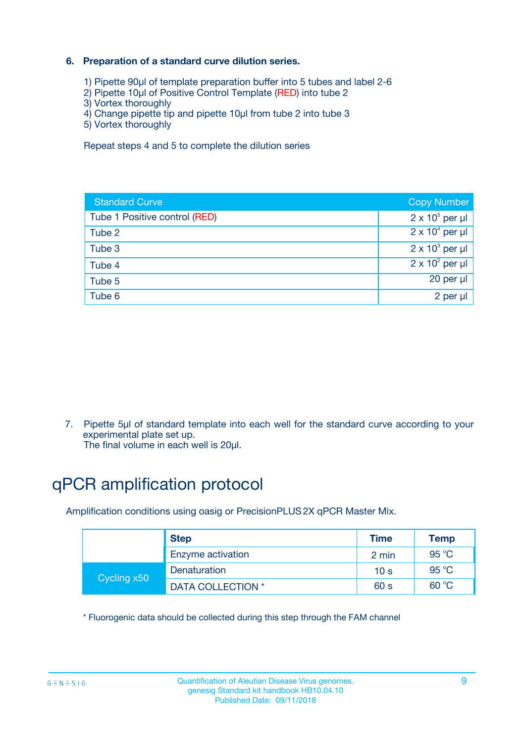### **6. Preparation of a standard curve dilution series.**

- 1) Pipette 90µl of template preparation buffer into 5 tubes and label 2-6
- 2) Pipette 10µl of Positive Control Template (RED) into tube 2
- 3) Vortex thoroughly
- 4) Change pipette tip and pipette 10µl from tube 2 into tube 3
- 5) Vortex thoroughly

Repeat steps 4 and 5 to complete the dilution series

| <b>Standard Curve</b>         | <b>Copy Number</b>     |
|-------------------------------|------------------------|
| Tube 1 Positive control (RED) | $2 \times 10^5$ per µl |
| Tube 2                        | $2 \times 10^4$ per µl |
| Tube 3                        | $2 \times 10^3$ per µl |
| Tube 4                        | $2 \times 10^2$ per µl |
| Tube 5                        | 20 per µl              |
| Tube 6                        | 2 per ul               |

7. Pipette 5µl of standard template into each well for the standard curve according to your experimental plate set up.

The final volume in each well is 20µl.

# qPCR amplification protocol

Amplification conditions using oasig or PrecisionPLUS2X qPCR Master Mix.

|             | <b>Step</b>       | <b>Time</b>     | <b>Temp</b>    |
|-------------|-------------------|-----------------|----------------|
|             | Enzyme activation | 2 min           | $95^{\circ}$ C |
| Cycling x50 | Denaturation      | 10 <sub>s</sub> | 95 $°C$        |
|             | DATA COLLECTION * | 60 s            | 60 °C          |

\* Fluorogenic data should be collected during this step through the FAM channel